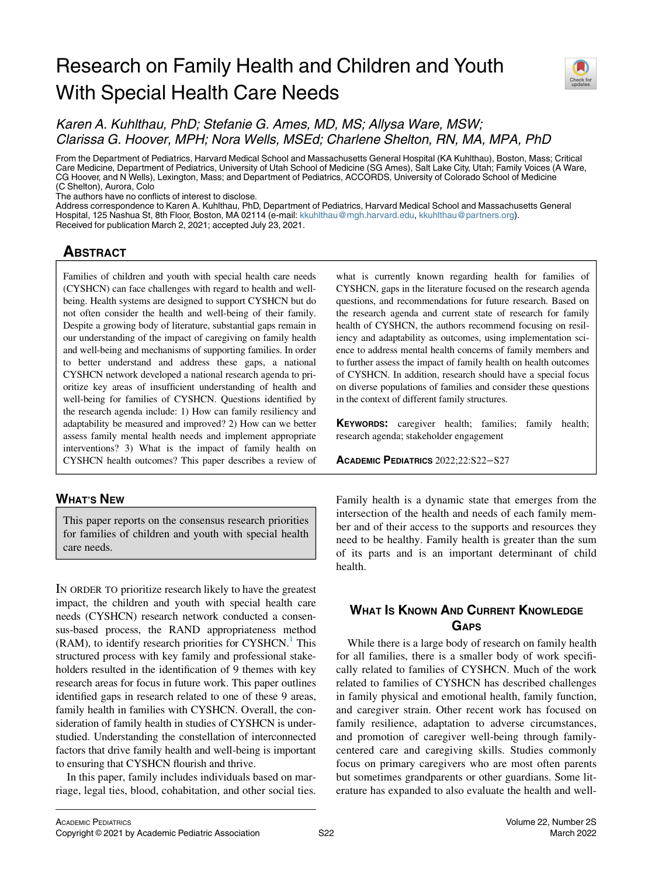# Research on Family Health and Children and Youth With Special Health Care Needs



Karen A. Kuhlthau, PhD; Stefanie G. Ames, MD, MS; Allysa Ware, MSW; Clarissa G. Hoover, MPH; Nora Wells, MSEd; Charlene Shelton, RN, MA, MPA, PhD

From the Department of Pediatrics, Harvard Medical School and Massachusetts General Hospital (KA Kuhlthau), Boston, Mass; Critical Care Medicine, Department of Pediatrics, University of Utah School of Medicine (SG Ames), Salt Lake City, Utah; Family Voices (A Ware, CG Hoover, and N Wells), Lexington, Mass; and Department of Pediatrics, ACCORDS, University of Colorado School of Medicine (C Shelton), Aurora, Colo

The authors have no conflicts of interest to disclose.

Address correspondence to Karen A. Kuhlthau, PhD, Department of Pediatrics, Harvard Medical School and Massachusetts General Hospital, 125 Nashua St, 8th Floor, Boston, MA 02114 (e-mail: [kkuhlthau@mgh.harvard.edu](mailto:kkuhlthau@mgh.harvard.edu), [kkuhlthau@partners.org](mailto:kkuhlthau@partners.org)). Received for publication March 2, 2021; accepted July 23, 2021.

## **ABSTRACT** ABSTRACT COMPANY

Families of children and youth with special health care needs (CYSHCN) can face challenges with regard to health and wellbeing. Health systems are designed to support CYSHCN but do not often consider the health and well-being of their family. Despite a growing body of literature, substantial gaps remain in our understanding of the impact of caregiving on family health and well-being and mechanisms of supporting families. In order to better understand and address these gaps, a national CYSHCN network developed a national research agenda to prioritize key areas of insufficient understanding of health and well-being for families of CYSHCN. Questions identified by the research agenda include: 1) How can family resiliency and adaptability be measured and improved? 2) How can we better assess family mental health needs and implement appropriate interventions? 3) What is the impact of family health on CYSHCN health outcomes? This paper describes a review of

## **WHAT'S NEW** <u>which is new</u>

This paper reports on the consensus research priorities for families of children and youth with special health care needs.

IN ORDER TO prioritize research likely to have the greatest impact, the children and youth with special health care needs (CYSHCN) research network conducted a consensus-based process, the RAND appropriateness method  $(RAM)$ , to identify research priorities for CYSHCN.<sup>1</sup> This structured process with key family and professional stakeholders resulted in the identification of 9 themes with key research areas for focus in future work. This paper outlines identified gaps in research related to one of these 9 areas, family health in families with CYSHCN. Overall, the consideration of family health in studies of CYSHCN is understudied. Understanding the constellation of interconnected factors that drive family health and well-being is important to ensuring that CYSHCN flourish and thrive.

In this paper, family includes individuals based on marriage, legal ties, blood, cohabitation, and other social ties. what is currently known regarding health for families of CYSHCN, gaps in the literature focused on the research agenda questions, and recommendations for future research. Based on the research agenda and current state of research for family health of CYSHCN, the authors recommend focusing on resiliency and adaptability as outcomes, using implementation science to address mental health concerns of family members and to further assess the impact of family health on health outcomes of CYSHCN. In addition, research should have a special focus on diverse populations of families and consider these questions in the context of different family structures.

KEYWORDS: caregiver health; families; family health; research agenda; stakeholder engagement

ACADEMIC PEDIATRICS 2022;22:S22−S27

Family health is a dynamic state that emerges from the intersection of the health and needs of each family member and of their access to the supports and resources they need to be healthy. Family health is greater than the sum of its parts and is an important determinant of child health.

## **WHAT IS KNOWN AND CURRENT KNOWLEDGE** GAPS

While there is a large body of research on family health for all families, there is a smaller body of work specifically related to families of CYSHCN. Much of the work related to families of CYSHCN has described challenges in family physical and emotional health, family function, and caregiver strain. Other recent work has focused on family resilience, adaptation to adverse circumstances, and promotion of caregiver well-being through familycentered care and caregiving skills. Studies commonly focus on primary caregivers who are most often parents but sometimes grandparents or other guardians. Some literature has expanded to also evaluate the health and well-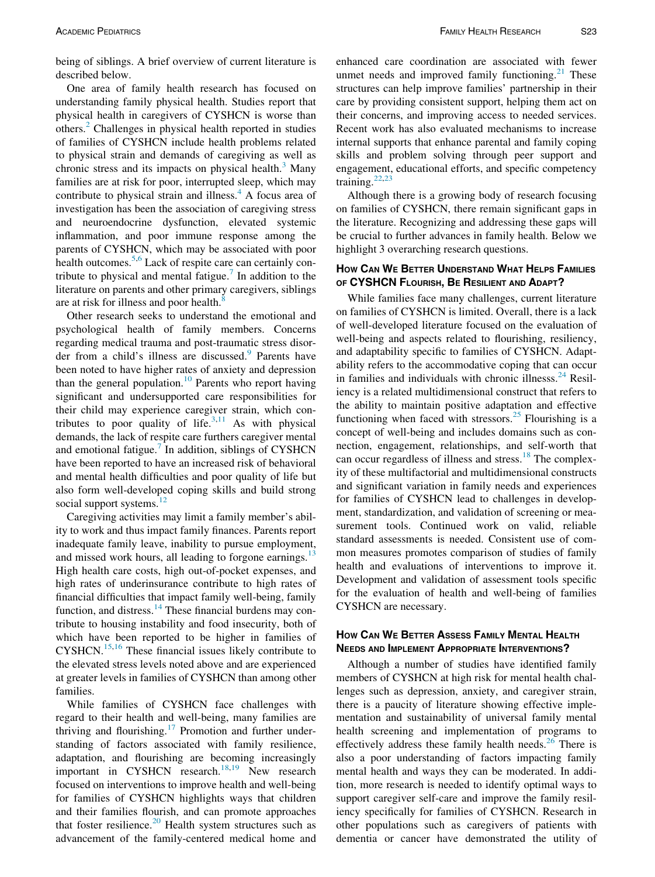One area of family health research has focused on understanding family physical health. Studies report that physical health in caregivers of CYSHCN is worse than others.[2](#page-4-1) Challenges in physical health reported in studies of families of CYSHCN include health problems related to physical strain and demands of caregiving as well as chronic stress and its impacts on physical health. $3$  Many families are at risk for poor, interrupted sleep, which may contribute to physical strain and illness. $4$  A focus area of investigation has been the association of caregiving stress and neuroendocrine dysfunction, elevated systemic inflammation, and poor immune response among the parents of CYSHCN, which may be associated with poor health outcomes.<sup>[5](#page-4-4)[,6](#page-4-5)</sup> Lack of respite care can certainly con-tribute to physical and mental fatigue.<sup>[7](#page-4-6)</sup> In addition to the literature on parents and other primary caregivers, siblings are at risk for illness and poor health. $\frac{8}{3}$  $\frac{8}{3}$  $\frac{8}{3}$ 

Other research seeks to understand the emotional and psychological health of family members. Concerns regarding medical trauma and post-traumatic stress disor-der from a child's illness are discussed.<sup>[9](#page-4-8)</sup> Parents have been noted to have higher rates of anxiety and depression than the general population.<sup>[10](#page-4-9)</sup> Parents who report having significant and undersupported care responsibilities for their child may experience caregiver strain, which con-tributes to poor quality of life.<sup>[3](#page-4-2)[,11](#page-4-10)</sup> As with physical demands, the lack of respite care furthers caregiver mental and emotional fatigue. $<sup>7</sup>$  $<sup>7</sup>$  $<sup>7</sup>$  In addition, siblings of CYSHCN</sup> have been reported to have an increased risk of behavioral and mental health difficulties and poor quality of life but also form well-developed coping skills and build strong social support systems.<sup>[12](#page-4-11)</sup>

Caregiving activities may limit a family member's ability to work and thus impact family finances. Parents report inadequate family leave, inability to pursue employment, and missed work hours, all leading to forgone earnings.<sup>[13](#page-4-12)</sup> High health care costs, high out-of-pocket expenses, and high rates of underinsurance contribute to high rates of financial difficulties that impact family well-being, family function, and distress. $14$  These financial burdens may contribute to housing instability and food insecurity, both of which have been reported to be higher in families of CYSHCN.[15](#page-4-14),[16](#page-4-15) These financial issues likely contribute to the elevated stress levels noted above and are experienced at greater levels in families of CYSHCN than among other families.

While families of CYSHCN face challenges with regard to their health and well-being, many families are thriving and flourishing.<sup>[17](#page-4-16)</sup> Promotion and further understanding of factors associated with family resilience, adaptation, and flourishing are becoming increasingly important in CYSHCN research.<sup>[18](#page-4-17)[,19](#page-4-18)</sup> New research focused on interventions to improve health and well-being for families of CYSHCN highlights ways that children and their families flourish, and can promote approaches that foster resilience.<sup>[20](#page-4-19)</sup> Health system structures such as advancement of the family-centered medical home and

enhanced care coordination are associated with fewer unmet needs and improved family functioning. $2<sup>1</sup>$  These structures can help improve families' partnership in their care by providing consistent support, helping them act on their concerns, and improving access to needed services. Recent work has also evaluated mechanisms to increase internal supports that enhance parental and family coping skills and problem solving through peer support and engagement, educational efforts, and specific competency training.[22](#page-4-21)[,23](#page-5-0)

Although there is a growing body of research focusing on families of CYSHCN, there remain significant gaps in the literature. Recognizing and addressing these gaps will be crucial to further advances in family health. Below we highlight 3 overarching research questions.

# HOW CAN WE BETTER UNDERSTAND WHAT HELPS FAMILIES OF CYSHCN FLOURISH, BE RESILIENT AND ADAPT?

While families face many challenges, current literature on families of CYSHCN is limited. Overall, there is a lack of well-developed literature focused on the evaluation of well-being and aspects related to flourishing, resiliency, and adaptability specific to families of CYSHCN. Adaptability refers to the accommodative coping that can occur in families and individuals with chronic illnesss. $^{24}$  $^{24}$  $^{24}$  Resiliency is a related multidimensional construct that refers to the ability to maintain positive adaptation and effective functioning when faced with stressors.<sup>[25](#page-5-2)</sup> Flourishing is a concept of well-being and includes domains such as connection, engagement, relationships, and self-worth that can occur regardless of illness and stress.<sup>[18](#page-4-17)</sup> The complexity of these multifactorial and multidimensional constructs and significant variation in family needs and experiences for families of CYSHCN lead to challenges in development, standardization, and validation of screening or measurement tools. Continued work on valid, reliable standard assessments is needed. Consistent use of common measures promotes comparison of studies of family health and evaluations of interventions to improve it. Development and validation of assessment tools specific for the evaluation of health and well-being of families CYSHCN are necessary.

# HOW CAN WE BETTER ASSESS FAMILY MENTAL HEALTH

Although a number of studies have identified family members of CYSHCN at high risk for mental health challenges such as depression, anxiety, and caregiver strain, there is a paucity of literature showing effective implementation and sustainability of universal family mental health screening and implementation of programs to effectively address these family health needs.<sup>[26](#page-5-3)</sup> There is also a poor understanding of factors impacting family mental health and ways they can be moderated. In addition, more research is needed to identify optimal ways to support caregiver self-care and improve the family resiliency specifically for families of CYSHCN. Research in other populations such as caregivers of patients with dementia or cancer have demonstrated the utility of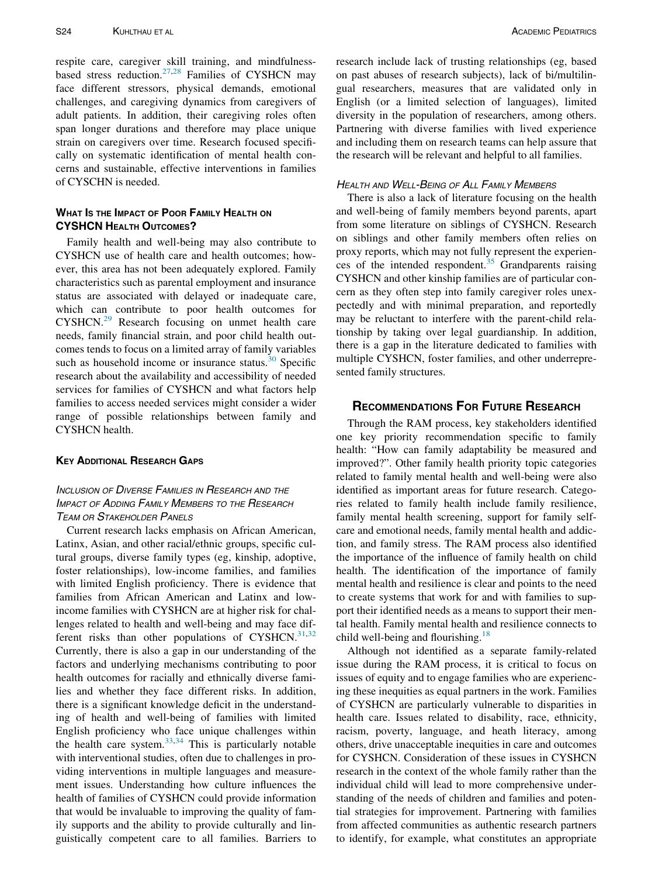respite care, caregiver skill training, and mindfulness-based stress reduction.<sup>[27,](#page-5-4)[28](#page-5-5)</sup> Families of CYSHCN may face different stressors, physical demands, emotional challenges, and caregiving dynamics from caregivers of adult patients. In addition, their caregiving roles often span longer durations and therefore may place unique strain on caregivers over time. Research focused specifically on systematic identification of mental health concerns and sustainable, effective interventions in families of CYSCHN is needed.

## **WHAT IS THE IMPACT OF POOR FAMILY HEALTH ON** CYSHCN HEALTH OUTCOMES?

Family health and well-being may also contribute to CYSHCN use of health care and health outcomes; however, this area has not been adequately explored. Family characteristics such as parental employment and insurance status are associated with delayed or inadequate care, which can contribute to poor health outcomes for CYSHCN.[29](#page-5-6) Research focusing on unmet health care needs, family financial strain, and poor child health outcomes tends to focus on a limited array of family variables such as household income or insurance status. $30$  Specific research about the availability and accessibility of needed services for families of CYSHCN and what factors help families to access needed services might consider a wider range of possible relationships between family and CYSHCN health.

## KEY ADDITIONAL RESEARCH GAPS

## INCLUSION OF DIVERSE FAMILIES IN RESEARCH AND THE IMPACT OF ADDING FAMILY MEMBERS TO THE RESEARCH **TEAM OR STAKEHOLDER PANELS**

Current research lacks emphasis on African American, Latinx, Asian, and other racial/ethnic groups, specific cultural groups, diverse family types (eg, kinship, adoptive, foster relationships), low-income families, and families with limited English proficiency. There is evidence that families from African American and Latinx and lowincome families with CYSHCN are at higher risk for challenges related to health and well-being and may face dif-ferent risks than other populations of CYSHCN.<sup>[31](#page-5-8),[32](#page-5-9)</sup> Currently, there is also a gap in our understanding of the factors and underlying mechanisms contributing to poor health outcomes for racially and ethnically diverse families and whether they face different risks. In addition, there is a significant knowledge deficit in the understanding of health and well-being of families with limited English proficiency who face unique challenges within the health care system. $33,34$  $33,34$  This is particularly notable with interventional studies, often due to challenges in providing interventions in multiple languages and measurement issues. Understanding how culture influences the health of families of CYSHCN could provide information that would be invaluable to improving the quality of family supports and the ability to provide culturally and linguistically competent care to all families. Barriers to research include lack of trusting relationships (eg, based on past abuses of research subjects), lack of bi/multilingual researchers, measures that are validated only in English (or a limited selection of languages), limited diversity in the population of researchers, among others. Partnering with diverse families with lived experience and including them on research teams can help assure that the research will be relevant and helpful to all families.

## HEALTH AND WELL-BEING OF ALL FAMILY MEMBERS

There is also a lack of literature focusing on the health and well-being of family members beyond parents, apart from some literature on siblings of CYSHCN. Research on siblings and other family members often relies on proxy reports, which may not fully represent the experiences of the intended respondent. $35$  Grandparents raising CYSHCN and other kinship families are of particular concern as they often step into family caregiver roles unexpectedly and with minimal preparation, and reportedly may be reluctant to interfere with the parent-child relationship by taking over legal guardianship. In addition, there is a gap in the literature dedicated to families with multiple CYSHCN, foster families, and other underrepresented family structures.

## **RECOMMENDATIONS FOR FUTURE RESEARCH**

Through the RAM process, key stakeholders identified one key priority recommendation specific to family health: "How can family adaptability be measured and improved?". Other family health priority topic categories related to family mental health and well-being were also identified as important areas for future research. Categories related to family health include family resilience, family mental health screening, support for family selfcare and emotional needs, family mental health and addiction, and family stress. The RAM process also identified the importance of the influence of family health on child health. The identification of the importance of family mental health and resilience is clear and points to the need to create systems that work for and with families to support their identified needs as a means to support their mental health. Family mental health and resilience connects to child well-being and flourishing. $18$ 

Although not identified as a separate family-related issue during the RAM process, it is critical to focus on issues of equity and to engage families who are experiencing these inequities as equal partners in the work. Families of CYSHCN are particularly vulnerable to disparities in health care. Issues related to disability, race, ethnicity, racism, poverty, language, and heath literacy, among others, drive unacceptable inequities in care and outcomes for CYSHCN. Consideration of these issues in CYSHCN research in the context of the whole family rather than the individual child will lead to more comprehensive understanding of the needs of children and families and potential strategies for improvement. Partnering with families from affected communities as authentic research partners to identify, for example, what constitutes an appropriate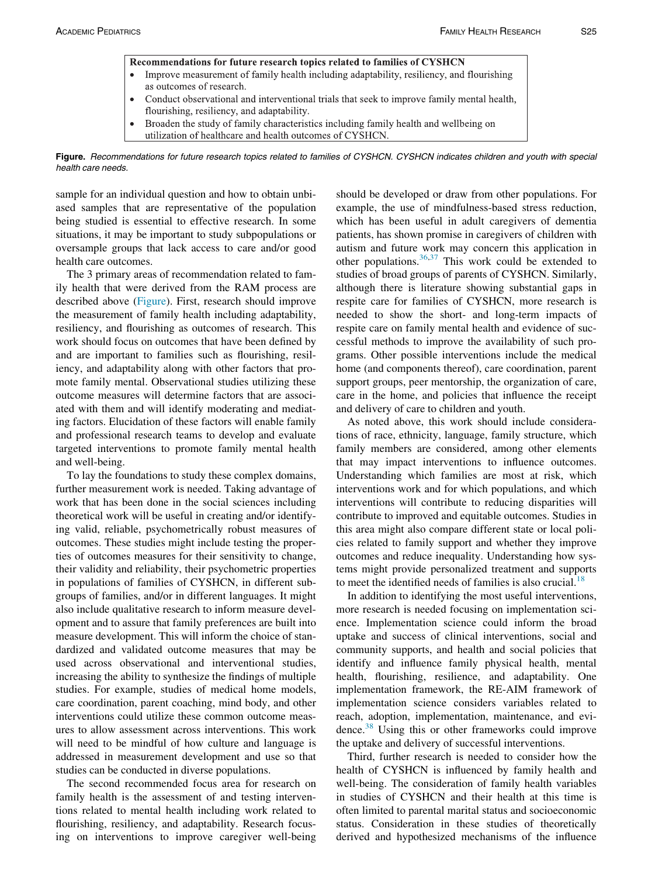<span id="page-3-0"></span>

| Recommendations for future research topics related to families of CYSHCN |                                                                                                                                            |
|--------------------------------------------------------------------------|--------------------------------------------------------------------------------------------------------------------------------------------|
|                                                                          | • Improve measurement of family health including adaptability, resiliency, and flourishing<br>as outcomes of research.                     |
|                                                                          | • Conduct observational and interventional trials that seek to improve family mental health,<br>flourishing, resiliency, and adaptability. |
| $\bullet$                                                                | Broaden the study of family characteristics including family health and wellbeing on                                                       |

utilization of healthcare and health outcomes of CYSHCN.

Figure. Recommendations for future research topics related to families of CYSHCN. CYSHCN indicates children and youth with special health care needs.

sample for an individual question and how to obtain unbiased samples that are representative of the population being studied is essential to effective research. In some situations, it may be important to study subpopulations or oversample groups that lack access to care and/or good health care outcomes.

The 3 primary areas of recommendation related to family health that were derived from the RAM process are described above [\(Figure](#page-3-0)). First, research should improve the measurement of family health including adaptability, resiliency, and flourishing as outcomes of research. This work should focus on outcomes that have been defined by and are important to families such as flourishing, resiliency, and adaptability along with other factors that promote family mental. Observational studies utilizing these outcome measures will determine factors that are associated with them and will identify moderating and mediating factors. Elucidation of these factors will enable family and professional research teams to develop and evaluate targeted interventions to promote family mental health and well-being.

To lay the foundations to study these complex domains, further measurement work is needed. Taking advantage of work that has been done in the social sciences including theoretical work will be useful in creating and/or identifying valid, reliable, psychometrically robust measures of outcomes. These studies might include testing the properties of outcomes measures for their sensitivity to change, their validity and reliability, their psychometric properties in populations of families of CYSHCN, in different subgroups of families, and/or in different languages. It might also include qualitative research to inform measure development and to assure that family preferences are built into measure development. This will inform the choice of standardized and validated outcome measures that may be used across observational and interventional studies, increasing the ability to synthesize the findings of multiple studies. For example, studies of medical home models, care coordination, parent coaching, mind body, and other interventions could utilize these common outcome measures to allow assessment across interventions. This work will need to be mindful of how culture and language is addressed in measurement development and use so that studies can be conducted in diverse populations.

The second recommended focus area for research on family health is the assessment of and testing interventions related to mental health including work related to flourishing, resiliency, and adaptability. Research focusing on interventions to improve caregiver well-being should be developed or draw from other populations. For example, the use of mindfulness-based stress reduction, which has been useful in adult caregivers of dementia patients, has shown promise in caregivers of children with autism and future work may concern this application in other populations. $36,37$  $36,37$  $36,37$  This work could be extended to studies of broad groups of parents of CYSHCN. Similarly, although there is literature showing substantial gaps in respite care for families of CYSHCN, more research is needed to show the short- and long-term impacts of respite care on family mental health and evidence of successful methods to improve the availability of such programs. Other possible interventions include the medical home (and components thereof), care coordination, parent support groups, peer mentorship, the organization of care, care in the home, and policies that influence the receipt and delivery of care to children and youth.

As noted above, this work should include considerations of race, ethnicity, language, family structure, which family members are considered, among other elements that may impact interventions to influence outcomes. Understanding which families are most at risk, which interventions work and for which populations, and which interventions will contribute to reducing disparities will contribute to improved and equitable outcomes. Studies in this area might also compare different state or local policies related to family support and whether they improve outcomes and reduce inequality. Understanding how systems might provide personalized treatment and supports to meet the identified needs of families is also crucial.<sup>[18](#page-4-17)</sup>

In addition to identifying the most useful interventions, more research is needed focusing on implementation science. Implementation science could inform the broad uptake and success of clinical interventions, social and community supports, and health and social policies that identify and influence family physical health, mental health, flourishing, resilience, and adaptability. One implementation framework, the RE-AIM framework of implementation science considers variables related to reach, adoption, implementation, maintenance, and evidence.[38](#page-5-15) Using this or other frameworks could improve the uptake and delivery of successful interventions.

Third, further research is needed to consider how the health of CYSHCN is influenced by family health and well-being. The consideration of family health variables in studies of CYSHCN and their health at this time is often limited to parental marital status and socioeconomic status. Consideration in these studies of theoretically derived and hypothesized mechanisms of the influence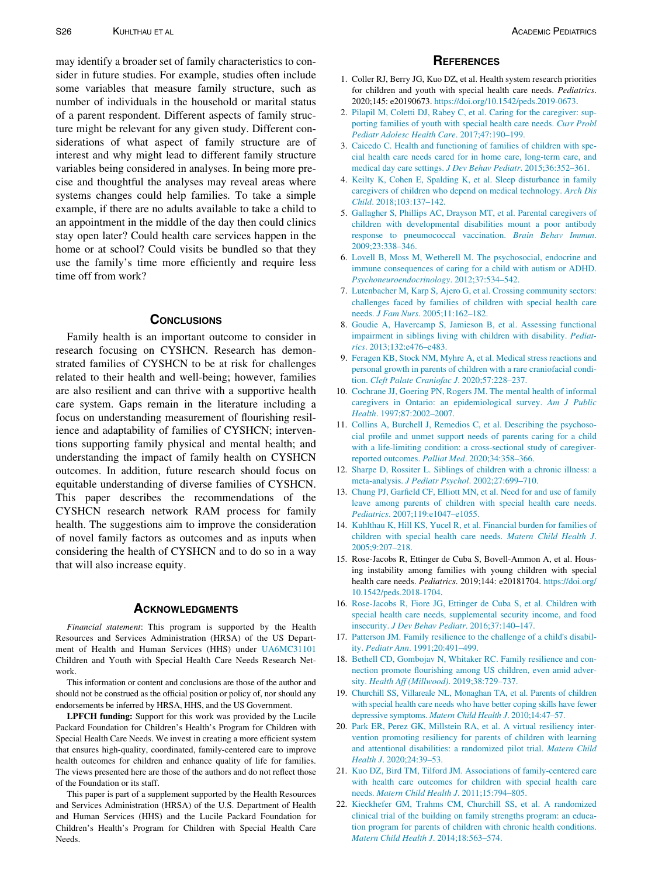<span id="page-4-3"></span><span id="page-4-2"></span><span id="page-4-1"></span><span id="page-4-0"></span>may identify a broader set of family characteristics to consider in future studies. For example, studies often include some variables that measure family structure, such as number of individuals in the household or marital status of a parent respondent. Different aspects of family structure might be relevant for any given study. Different considerations of what aspect of family structure are of interest and why might lead to different family structure variables being considered in analyses. In being more precise and thoughtful the analyses may reveal areas where systems changes could help families. To take a simple example, if there are no adults available to take a child to an appointment in the middle of the day then could clinics stay open later? Could health care services happen in the home or at school? Could visits be bundled so that they use the family's time more efficiently and require less time off from work?

<span id="page-4-11"></span><span id="page-4-10"></span><span id="page-4-9"></span><span id="page-4-8"></span><span id="page-4-7"></span><span id="page-4-6"></span><span id="page-4-5"></span><span id="page-4-4"></span>Family health is an important outcome to consider in research focusing on CYSHCN. Research has demonstrated families of CYSHCN to be at risk for challenges related to their health and well-being; however, families are also resilient and can thrive with a supportive health care system. Gaps remain in the literature including a focus on understanding measurement of flourishing resilience and adaptability of families of CYSHCN; interventions supporting family physical and mental health; and understanding the impact of family health on CYSHCN outcomes. In addition, future research should focus on equitable understanding of diverse families of CYSHCN. This paper describes the recommendations of the CYSHCN research network RAM process for family health. The suggestions aim to improve the consideration of novel family factors as outcomes and as inputs when considering the health of CYSHCN and to do so in a way that will also increase equity.

<span id="page-4-22"></span><span id="page-4-16"></span><span id="page-4-15"></span><span id="page-4-14"></span><span id="page-4-13"></span><span id="page-4-12"></span>Financial statement: This program is supported by the Health Resources and Services Administration (HRSA) of the US Department of Health and Human Services (HHS) under [UA6MC31101](#page-4-22) Children and Youth with Special Health Care Needs Research Network.

<span id="page-4-18"></span><span id="page-4-17"></span>This information or content and conclusions are those of the author and should not be construed as the official position or policy of, nor should any endorsements be inferred by HRSA, HHS, and the US Government.

<span id="page-4-19"></span>LPFCH funding: Support for this work was provided by the Lucile Packard Foundation for Children's Health's Program for Children with Special Health Care Needs. We invest in creating a more efficient system that ensures high-quality, coordinated, family-centered care to improve health outcomes for children and enhance quality of life for families. The views presented here are those of the authors and do not reflect those of the Foundation or its staff.

<span id="page-4-21"></span><span id="page-4-20"></span>This paper is part of a supplement supported by the Health Resources and Services Administration (HRSA) of the U.S. Department of Health and Human Services (HHS) and the Lucile Packard Foundation for Children's Health's Program for Children with Special Health Care Needs.

- 1. Coller RJ, Berry JG, Kuo DZ, et al. Health system research priorities for children and youth with special health care needs. Pediatrics. 2020;145: e20190673. [https://doi.org/10.1542/peds.2019-0673.](https://doi.org/10.1542/peds.2019-0673)
- 2. [Pilapil M, Coletti DJ, Rabey C, et al. Caring for the caregiver: sup](http://refhub.elsevier.com/S1876-2859(21)00383-1/sbref0002)[porting families of youth with special health care needs.](http://refhub.elsevier.com/S1876-2859(21)00383-1/sbref0002) Curr Probl [Pediatr Adolesc Health Care](http://refhub.elsevier.com/S1876-2859(21)00383-1/sbref0002). 2017;47:190–199.
- 3. [Caicedo C. Health and functioning of families of children with spe](http://refhub.elsevier.com/S1876-2859(21)00383-1/sbref0003)[cial health care needs cared for in home care, long-term care, and](http://refhub.elsevier.com/S1876-2859(21)00383-1/sbref0003) [medical day care settings.](http://refhub.elsevier.com/S1876-2859(21)00383-1/sbref0003) J Dev Behav Pediatr. 2015;36:352–361.
- 4. [Keilty K, Cohen E, Spalding K, et al. Sleep disturbance in family](http://refhub.elsevier.com/S1876-2859(21)00383-1/sbref0004) [caregivers of children who depend on medical technology.](http://refhub.elsevier.com/S1876-2859(21)00383-1/sbref0004) Arch Dis Child[. 2018;103:137–142.](http://refhub.elsevier.com/S1876-2859(21)00383-1/sbref0004)
- 5. [Gallagher S, Phillips AC, Drayson MT, et al. Parental caregivers of](http://refhub.elsevier.com/S1876-2859(21)00383-1/sbref0005) [children with developmental disabilities mount a poor antibody](http://refhub.elsevier.com/S1876-2859(21)00383-1/sbref0005) [response to pneumococcal vaccination.](http://refhub.elsevier.com/S1876-2859(21)00383-1/sbref0005) Brain Behav Immun. [2009;23:338–346.](http://refhub.elsevier.com/S1876-2859(21)00383-1/sbref0005)
- 6. [Lovell B, Moss M, Wetherell M. The psychosocial, endocrine and](http://refhub.elsevier.com/S1876-2859(21)00383-1/sbref0006) [immune consequences of caring for a child with autism or ADHD.](http://refhub.elsevier.com/S1876-2859(21)00383-1/sbref0006) [Psychoneuroendocrinology](http://refhub.elsevier.com/S1876-2859(21)00383-1/sbref0006). 2012;37:534–542.
- 7. [Lutenbacher M, Karp S, Ajero G, et al. Crossing community sectors:](http://refhub.elsevier.com/S1876-2859(21)00383-1/sbref0007) [challenges faced by families of children with special health care](http://refhub.elsevier.com/S1876-2859(21)00383-1/sbref0007) needs. J Fam Nurs[. 2005;11:162–182.](http://refhub.elsevier.com/S1876-2859(21)00383-1/sbref0007)
- 8. [Goudie A, Havercamp S, Jamieson B, et al. Assessing functional](http://refhub.elsevier.com/S1876-2859(21)00383-1/sbref0008) [impairment in siblings living with children with disability.](http://refhub.elsevier.com/S1876-2859(21)00383-1/sbref0008) Pediatrics[. 2013;132:e476–e483.](http://refhub.elsevier.com/S1876-2859(21)00383-1/sbref0008)
- 9. [Feragen KB, Stock NM, Myhre A, et al. Medical stress reactions and](http://refhub.elsevier.com/S1876-2859(21)00383-1/sbref0009) [personal growth in parents of children with a rare craniofacial condi](http://refhub.elsevier.com/S1876-2859(21)00383-1/sbref0009)tion. [Cleft Palate Craniofac J](http://refhub.elsevier.com/S1876-2859(21)00383-1/sbref0009). 2020;57:228–237.
- 10. [Cochrane JJ, Goering PN, Rogers JM. The mental health of informal](http://refhub.elsevier.com/S1876-2859(21)00383-1/sbref0010) [caregivers in Ontario: an epidemiological survey.](http://refhub.elsevier.com/S1876-2859(21)00383-1/sbref0010) Am J Public Health[. 1997;87:2002–2007.](http://refhub.elsevier.com/S1876-2859(21)00383-1/sbref0010)
- 11. [Collins A, Burchell J, Remedios C, et al. Describing the psychoso](http://refhub.elsevier.com/S1876-2859(21)00383-1/sbref0011)[cial profile and unmet support needs of parents caring for a child](http://refhub.elsevier.com/S1876-2859(21)00383-1/sbref0011) [with a life-limiting condition: a cross-sectional study of caregiver](http://refhub.elsevier.com/S1876-2859(21)00383-1/sbref0011)reported outcomes. Palliat Med[. 2020;34:358–366.](http://refhub.elsevier.com/S1876-2859(21)00383-1/sbref0011)
- 12. [Sharpe D, Rossiter L. Siblings of children with a chronic illness: a](http://refhub.elsevier.com/S1876-2859(21)00383-1/sbref0012) meta-analysis. J Pediatr Psychol[. 2002;27:699–710.](http://refhub.elsevier.com/S1876-2859(21)00383-1/sbref0012)
- 13. [Chung PJ, Garfield CF, Elliott MN, et al. Need for and use of family](http://refhub.elsevier.com/S1876-2859(21)00383-1/sbref0013) [leave among parents of children with special health care needs.](http://refhub.elsevier.com/S1876-2859(21)00383-1/sbref0013) Pediatrics[. 2007;119:e1047–e1055.](http://refhub.elsevier.com/S1876-2859(21)00383-1/sbref0013)
- 14. [Kuhlthau K, Hill KS, Yucel R, et al. Financial burden for families of](http://refhub.elsevier.com/S1876-2859(21)00383-1/sbref0014) [children with special health care needs.](http://refhub.elsevier.com/S1876-2859(21)00383-1/sbref0014) Matern Child Health J. [2005;9:207–218.](http://refhub.elsevier.com/S1876-2859(21)00383-1/sbref0014)
- 15. Rose-Jacobs R, Ettinger de Cuba S, Bovell-Ammon A, et al. Housing instability among families with young children with special health care needs. Pediatrics. 2019;144: e20181704. [https://doi.org/](https://doi.org/10.1542/peds.2018-1704) [10.1542/peds.2018-1704.](https://doi.org/10.1542/peds.2018-1704)
- 16. [Rose-Jacobs R, Fiore JG, Ettinger de Cuba S, et al. Children with](http://refhub.elsevier.com/S1876-2859(21)00383-1/sbref0016) [special health care needs, supplemental security income, and food](http://refhub.elsevier.com/S1876-2859(21)00383-1/sbref0016) insecurity. [J Dev Behav Pediatr](http://refhub.elsevier.com/S1876-2859(21)00383-1/sbref0016). 2016;37:140–147.
- 17. [Patterson JM. Family resilience to the challenge of a child](http://refhub.elsevier.com/S1876-2859(21)00383-1/sbref0017)'s disability. Pediatr Ann[. 1991;20:491–499.](http://refhub.elsevier.com/S1876-2859(21)00383-1/sbref0017)
- 18. [Bethell CD, Gombojav N, Whitaker RC. Family resilience and con](http://refhub.elsevier.com/S1876-2859(21)00383-1/sbref0018)[nection promote flourishing among US children, even amid adver](http://refhub.elsevier.com/S1876-2859(21)00383-1/sbref0018)sity. [Health Aff \(Millwood\)](http://refhub.elsevier.com/S1876-2859(21)00383-1/sbref0018). 2019;38:729–737.
- 19. [Churchill SS, Villareale NL, Monaghan TA, et al. Parents of children](http://refhub.elsevier.com/S1876-2859(21)00383-1/sbref0019) [with special health care needs who have better coping skills have fewer](http://refhub.elsevier.com/S1876-2859(21)00383-1/sbref0019) depressive symptoms. [Matern Child Health J](http://refhub.elsevier.com/S1876-2859(21)00383-1/sbref0019). 2010;14:47–57.
- 20. [Park ER, Perez GK, Millstein RA, et al. A virtual resiliency inter](http://refhub.elsevier.com/S1876-2859(21)00383-1/sbref0020)[vention promoting resiliency for parents of children with learning](http://refhub.elsevier.com/S1876-2859(21)00383-1/sbref0020) [and attentional disabilities: a randomized pilot trial.](http://refhub.elsevier.com/S1876-2859(21)00383-1/sbref0020) Matern Child Health J[. 2020;24:39–53.](http://refhub.elsevier.com/S1876-2859(21)00383-1/sbref0020)
- 21. [Kuo DZ, Bird TM, Tilford JM. Associations of family-centered care](http://refhub.elsevier.com/S1876-2859(21)00383-1/sbref0021) [with health care outcomes for children with special health care](http://refhub.elsevier.com/S1876-2859(21)00383-1/sbref0021) needs. [Matern Child Health J](http://refhub.elsevier.com/S1876-2859(21)00383-1/sbref0021). 2011;15:794–805.
- 22. [Kieckhefer GM, Trahms CM, Churchill SS, et al. A randomized](http://refhub.elsevier.com/S1876-2859(21)00383-1/sbref0022) [clinical trial of the building on family strengths program: an educa](http://refhub.elsevier.com/S1876-2859(21)00383-1/sbref0022)[tion program for parents of children with chronic health conditions.](http://refhub.elsevier.com/S1876-2859(21)00383-1/sbref0022) [Matern Child Health J](http://refhub.elsevier.com/S1876-2859(21)00383-1/sbref0022). 2014;18:563–574.